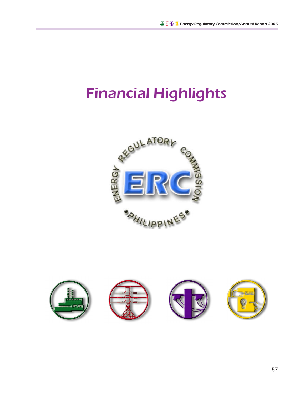## Financial Highlights



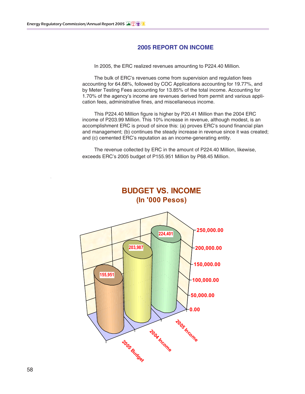## **2005 REPORT ON INCOME**

In 2005, the ERC realized revenues amounting to P224.40 Million.

The bulk of ERC's revenues come from supervision and regulation fees accounting for 64.68%, followed by COC Applications accounting for 19.77%, and by Meter Testing Fees accounting for 13.85% of the total income. Accounting for 1.70% of the agency's income are revenues derived from permit and various application fees, administrative fines, and miscellaneous income.

This P224.40 Million figure is higher by P20.41 Million than the 2004 ERC income of P203.99 Million. This 10% increase in revenue, although modest, is an accomplishment ERC is proud of since this: (a) proves ERC's sound financial plan and management; (b) continues the steady increase in revenue since it was created; and (c) cemented ERC's reputation as an income-generating entity.

The revenue collected by ERC in the amount of P224.40 Million, likewise, exceeds ERC's 2005 budget of P155.951 Million by P68.45 Million.

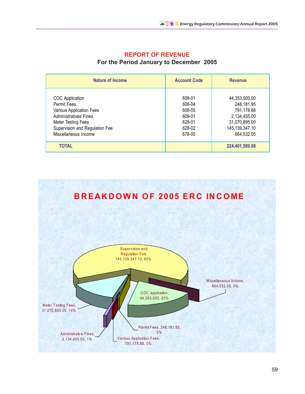| Nature of Income                                                                                                                                                           | <b>Account Code</b>                                                | <b>Revenue</b>                                                                                             |  |
|----------------------------------------------------------------------------------------------------------------------------------------------------------------------------|--------------------------------------------------------------------|------------------------------------------------------------------------------------------------------------|--|
| COC Application<br>Permit Fees<br>Various Application Fees<br><b>Administratives Fines</b><br>Meter Testing Fees<br>Supervision and Regulation Fee<br>Miscellaneous Income | 608-01<br>608-04<br>608-05<br>609-01<br>628-01<br>628-02<br>678-00 | 44,353,000.00<br>248,181.95<br>791,178.88<br>2,134,455.00<br>31,070,895.00<br>145,139,347.10<br>664,532.05 |  |
| <b>TOTAL</b>                                                                                                                                                               |                                                                    | 224,401,589.98                                                                                             |  |

## **REPORT OF REVENUE**

For the Period January to December 2005



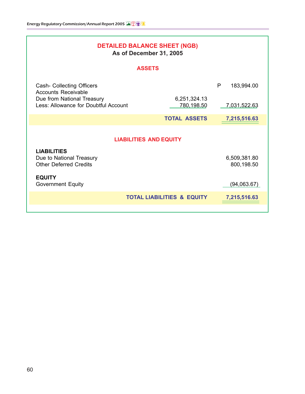| <b>DETAILED BALANCE SHEET (NGB)</b><br>As of December 31, 2005                  |                            |                            |  |  |  |
|---------------------------------------------------------------------------------|----------------------------|----------------------------|--|--|--|
| <b>ASSETS</b>                                                                   |                            |                            |  |  |  |
| Cash- Collecting Officers<br><b>Accounts Receivable</b>                         |                            | P<br>183,994.00            |  |  |  |
| Due from National Treasury<br>Less: Allowance for Doubtful Account              | 6,251,324.13<br>780,198.50 | 7,031,522.63               |  |  |  |
|                                                                                 | <b>TOTAL ASSETS</b>        | 7,215,516.63               |  |  |  |
| <b>LIABILITIES AND EQUITY</b>                                                   |                            |                            |  |  |  |
| <b>LIABILITIES</b><br>Due to National Treasury<br><b>Other Deferred Credits</b> |                            | 6,509,381.80<br>800,198.50 |  |  |  |
| <b>EQUITY</b><br><b>Government Equity</b>                                       |                            | (94,063.67)                |  |  |  |
| <b>TOTAL LIABILITIES &amp; EQUITY</b><br>7,215,516.63                           |                            |                            |  |  |  |
|                                                                                 |                            |                            |  |  |  |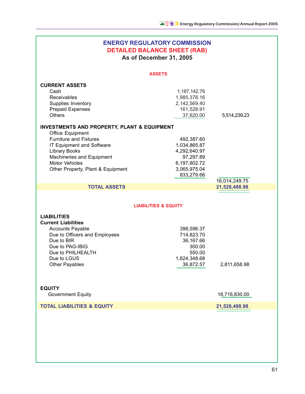| <b>ENERGY REGULATORY COMMISSION</b><br><b>DETAILED BALANCE SHEET (RAB)</b><br>As of December 31, 2005                                                                                                                                                       |                                                                                                       |               |  |  |
|-------------------------------------------------------------------------------------------------------------------------------------------------------------------------------------------------------------------------------------------------------------|-------------------------------------------------------------------------------------------------------|---------------|--|--|
| <b>ASSETS</b>                                                                                                                                                                                                                                               |                                                                                                       |               |  |  |
| <b>CURRENT ASSETS</b><br>Cash<br>Receivables<br>Supplies Inventory<br><b>Prepaid Expenses</b><br><b>Others</b>                                                                                                                                              | 1, 187, 142. 76<br>1,985,378.16<br>2,142,569.40<br>161,528.91<br>37,620.00                            | 5,514,239.23  |  |  |
| <b>INVESTMENTS AND PROPERTY, PLANT &amp; EQUIPMENT</b><br>Office Equipment<br><b>Furniture and Fixtures</b><br>IT Equipment and Software<br><b>Library Books</b><br>Machineries and Equipment<br><b>Motor Vehicles</b><br>Other Property, Plant & Equipment | 492,387.60<br>1,034,865.87<br>4,292,640.97<br>97,297.89<br>6,197,802.72<br>3,065,975.04<br>833,279.66 | 16,014,249.75 |  |  |
| <b>TOTAL ASSETS</b>                                                                                                                                                                                                                                         |                                                                                                       | 21,528,488.98 |  |  |
| <b>LIABILITIES &amp; EQUITY</b>                                                                                                                                                                                                                             |                                                                                                       |               |  |  |
| <b>LIABILITIES</b><br><b>Current Liabilities</b><br><b>Accounts Payable</b><br>Due to Officers and Employees<br>Due to BIR<br>Due to PAG-IBIG<br>Due to PHILHEALTH<br>Due to LGUS<br><b>Other Payables</b>                                                  | 398,596.37<br>714,823.70<br>36,167.66<br>300.00<br>550.00<br>1,624,348.68<br>36,872.57                | 2,811,658.98  |  |  |
| <b>EQUITY</b><br><b>Government Equity</b>                                                                                                                                                                                                                   |                                                                                                       | 18,716,830.00 |  |  |
| <b>TOTAL LIABILITIES &amp; EQUITY</b>                                                                                                                                                                                                                       |                                                                                                       | 21,528,488.98 |  |  |
|                                                                                                                                                                                                                                                             |                                                                                                       |               |  |  |